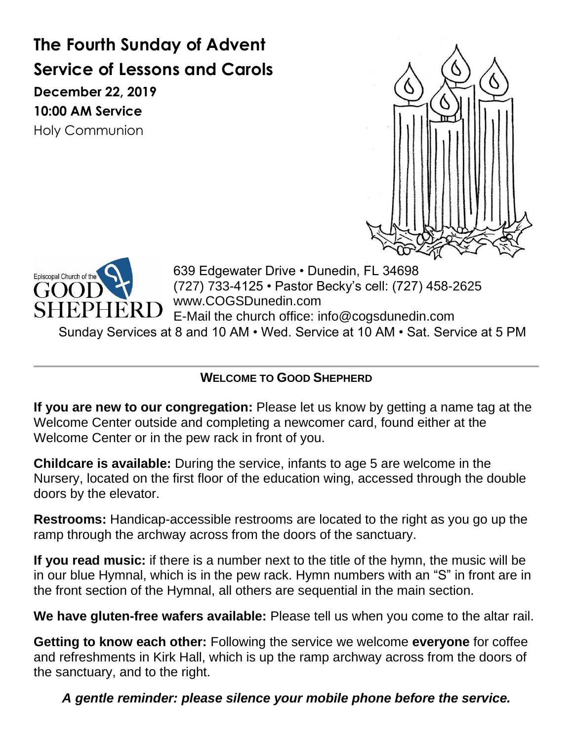**The Fourth Sunday of Advent Service of Lessons and Carols December 22, 2019 10:00 AM Service** 





Holy Communion

639 Edgewater Drive • Dunedin, FL 34698 (727) 733-4125 • Pastor Becky's cell: (727) 458-2625 www.COGSDunedin.com E-Mail the church office: info@cogsdunedin.com

Sunday Services at 8 and 10 AM • Wed. Service at 10 AM • Sat. Service at 5 PM

#### **WELCOME TO GOOD SHEPHERD**

**If you are new to our congregation:** Please let us know by getting a name tag at the Welcome Center outside and completing a newcomer card, found either at the Welcome Center or in the pew rack in front of you.

**Childcare is available:** During the service, infants to age 5 are welcome in the Nursery, located on the first floor of the education wing, accessed through the double doors by the elevator.

**Restrooms:** Handicap-accessible restrooms are located to the right as you go up the ramp through the archway across from the doors of the sanctuary.

**If you read music:** if there is a number next to the title of the hymn, the music will be in our blue Hymnal, which is in the pew rack. Hymn numbers with an "S" in front are in the front section of the Hymnal, all others are sequential in the main section.

**We have gluten-free wafers available:** Please tell us when you come to the altar rail.

**Getting to know each other:** Following the service we welcome **everyone** for coffee and refreshments in Kirk Hall, which is up the ramp archway across from the doors of the sanctuary, and to the right.

*A gentle reminder: please silence your mobile phone before the service.*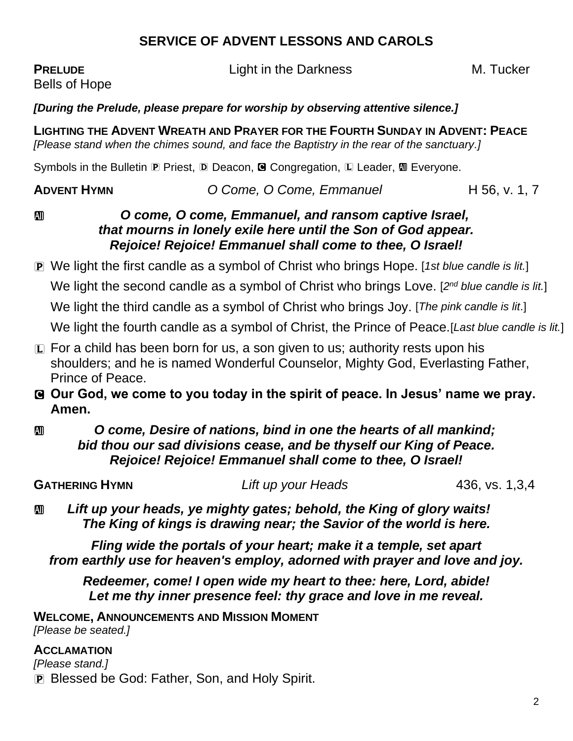## **SERVICE OF ADVENT LESSONS AND CAROLS**

Bells of Hope

**PRELUDE Example 2** Light in the Darkness **M. Tucker** 

*[During the Prelude, please prepare for worship by observing attentive silence.]*

**LIGHTING THE ADVENT WREATH AND PRAYER FOR THE FOURTH SUNDAY IN ADVENT: PEACE** *[Please stand when the chimes sound, and face the Baptistry in the rear of the sanctuary.]*

Symbols in the Bulletin P Priest, D Deacon,  $\blacksquare$  Congregation,  $\square$  Leader,  $\square$  Everyone.

**ADVENT HYMN** *O Come, O Come, Emmanuel* H 56, v. 1, 7

#### a *O come, O come, Emmanuel, and ransom captive Israel, that mourns in lonely exile here until the Son of God appear. Rejoice! Rejoice! Emmanuel shall come to thee, O Israel!*

P We light the first candle as a symbol of Christ who brings Hope. [*1st blue candle is lit.*]

We light the second candle as a symbol of Christ who brings Love. [2<sup>nd</sup> blue candle is lit.]

We light the third candle as a symbol of Christ who brings Joy. [*The pink candle is lit*.]

We light the fourth candle as a symbol of Christ, the Prince of Peace.[*Last blue candle is lit.*]

 $E$  For a child has been born for us, a son given to us; authority rests upon his shoulders; and he is named Wonderful Counselor, Mighty God, Everlasting Father, Prince of Peace.

C **Our God, we come to you today in the spirit of peace. In Jesus' name we pray. Amen.**

a *O come, Desire of nations, bind in one the hearts of all mankind; bid thou our sad divisions cease, and be thyself our King of Peace. Rejoice! Rejoice! Emmanuel shall come to thee, O Israel!*

**GATHERING HYMN** *Lift up your Heads* 436, vs. 1,3,4

a *Lift up your heads, ye mighty gates; behold, the King of glory waits! The King of kings is drawing near; the Savior of the world is here.*

*Fling wide the portals of your heart; make it a temple, set apart from earthly use for heaven's employ, adorned with prayer and love and joy.*

*Redeemer, come! I open wide my heart to thee: here, Lord, abide! Let me thy inner presence feel: thy grace and love in me reveal.*

**WELCOME, ANNOUNCEMENTS AND MISSION MOMENT**

*[Please be seated.]*

**ACCLAMATION**

*[Please stand.]* P Blessed be God: Father, Son, and Holy Spirit.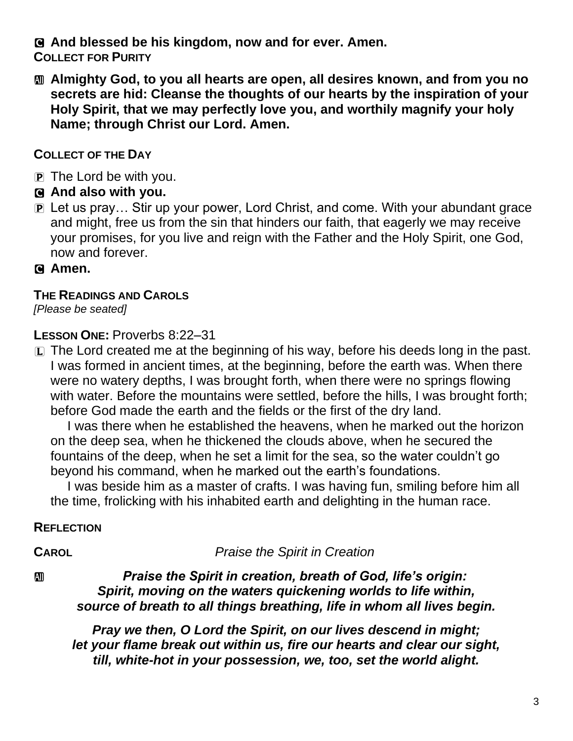## C **And blessed be his kingdom, now and for ever. Amen. COLLECT FOR PURITY**

a **Almighty God, to you all hearts are open, all desires known, and from you no secrets are hid: Cleanse the thoughts of our hearts by the inspiration of your Holy Spirit, that we may perfectly love you, and worthily magnify your holy Name; through Christ our Lord. Amen.**

## **COLLECT OF THE DAY**

- $\overline{P}$  The Lord be with you.
- C **And also with you.**
- P Let us pray… Stir up your power, Lord Christ, and come. With your abundant grace and might, free us from the sin that hinders our faith, that eagerly we may receive your promises, for you live and reign with the Father and the Holy Spirit, one God, now and forever.
- C **Amen.**

# **THE READINGS AND CAROLS**

*[Please be seated]*

# **LESSON ONE:** Proverbs 8:22–31

 $\Box$  The Lord created me at the beginning of his way, before his deeds long in the past. I was formed in ancient times, at the beginning, before the earth was. When there were no watery depths, I was brought forth, when there were no springs flowing with water. Before the mountains were settled, before the hills, I was brought forth; before God made the earth and the fields or the first of the dry land.

I was there when he established the heavens, when he marked out the horizon on the deep sea, when he thickened the clouds above, when he secured the fountains of the deep, when he set a limit for the sea, so the water couldn't go beyond his command, when he marked out the earth's foundations.

I was beside him as a master of crafts. I was having fun, smiling before him all the time, frolicking with his inhabited earth and delighting in the human race.

# **REFLECTION**

**CAROL** *Praise the Spirit in Creation*

### a *Praise the Spirit in creation, breath of God, life's origin: Spirit, moving on the waters quickening worlds to life within, source of breath to all things breathing, life in whom all lives begin.*

*Pray we then, O Lord the Spirit, on our lives descend in might; let your flame break out within us, fire our hearts and clear our sight, till, white-hot in your possession, we, too, set the world alight.*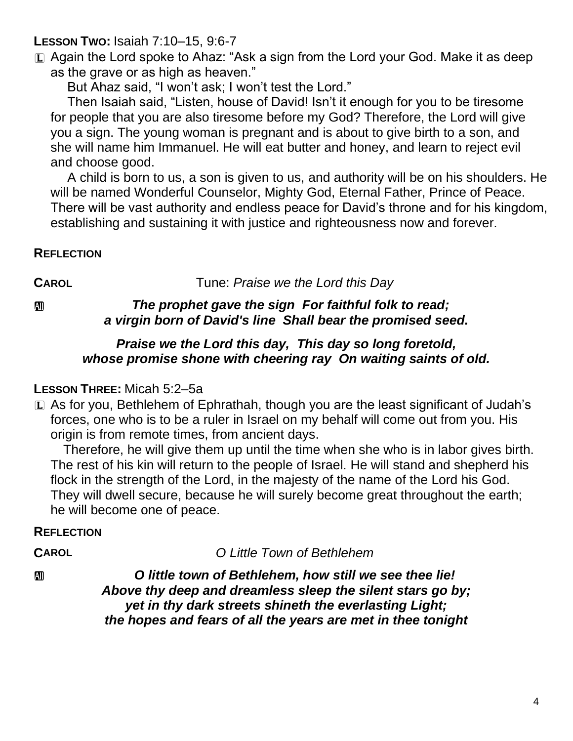## **LESSON TWO:** Isaiah 7:10–15, 9:6-7

L Again the Lord spoke to Ahaz: "Ask a sign from the Lord your God. Make it as deep as the grave or as high as heaven."

But Ahaz said, "I won't ask; I won't test the Lord."

Then Isaiah said, "Listen, house of David! Isn't it enough for you to be tiresome for people that you are also tiresome before my God? Therefore, the Lord will give you a sign. The young woman is pregnant and is about to give birth to a son, and she will name him Immanuel. He will eat butter and honey, and learn to reject evil and choose good.

A child is born to us, a son is given to us, and authority will be on his shoulders. He will be named Wonderful Counselor, Mighty God, Eternal Father, Prince of Peace. There will be vast authority and endless peace for David's throne and for his kingdom, establishing and sustaining it with justice and righteousness now and forever.

## **REFLECTION**

**CAROL** Tune: *Praise we the Lord this Day*

## *<u>M</u> The prophet gave the sign For faithful folk to read; a virgin born of David's line Shall bear the promised seed.*

## *Praise we the Lord this day, This day so long foretold, whose promise shone with cheering ray On waiting saints of old.*

# **LESSON THREE:** Micah 5:2–5a

L As for you, Bethlehem of Ephrathah, though you are the least significant of Judah's forces, one who is to be a ruler in Israel on my behalf will come out from you. His origin is from remote times, from ancient days.

Therefore, he will give them up until the time when she who is in labor gives birth. The rest of his kin will return to the people of Israel. He will stand and shepherd his flock in the strength of the Lord, in the majesty of the name of the Lord his God. They will dwell secure, because he will surely become great throughout the earth; he will become one of peace.

## **REFLECTION**

**CAROL** *O Little Town of Bethlehem*

a *O little town of Bethlehem, how still we see thee lie! Above thy deep and dreamless sleep the silent stars go by; yet in thy dark streets shineth the everlasting Light; the hopes and fears of all the years are met in thee tonight*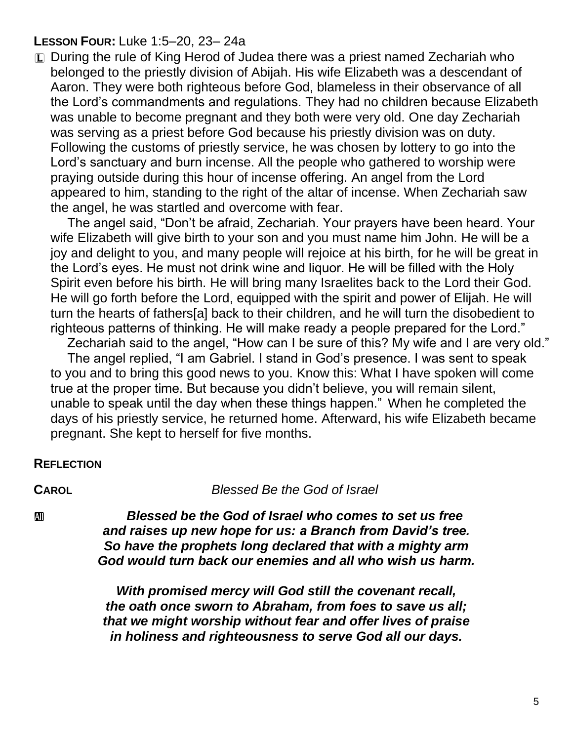#### **LESSON FOUR:** Luke 1:5–20, 23– 24a

L During the rule of King Herod of Judea there was a priest named Zechariah who belonged to the priestly division of Abijah. His wife Elizabeth was a descendant of Aaron. They were both righteous before God, blameless in their observance of all the Lord's commandments and regulations. They had no children because Elizabeth was unable to become pregnant and they both were very old. One day Zechariah was serving as a priest before God because his priestly division was on duty. Following the customs of priestly service, he was chosen by lottery to go into the Lord's sanctuary and burn incense. All the people who gathered to worship were praying outside during this hour of incense offering. An angel from the Lord appeared to him, standing to the right of the altar of incense. When Zechariah saw the angel, he was startled and overcome with fear.

The angel said, "Don't be afraid, Zechariah. Your prayers have been heard. Your wife Elizabeth will give birth to your son and you must name him John. He will be a joy and delight to you, and many people will rejoice at his birth, for he will be great in the Lord's eyes. He must not drink wine and liquor. He will be filled with the Holy Spirit even before his birth. He will bring many Israelites back to the Lord their God. He will go forth before the Lord, equipped with the spirit and power of Elijah. He will turn the hearts of fathers[a] back to their children, and he will turn the disobedient to righteous patterns of thinking. He will make ready a people prepared for the Lord."

Zechariah said to the angel, "How can I be sure of this? My wife and I are very old." The angel replied, "I am Gabriel. I stand in God's presence. I was sent to speak to you and to bring this good news to you. Know this: What I have spoken will come true at the proper time. But because you didn't believe, you will remain silent, unable to speak until the day when these things happen." When he completed the days of his priestly service, he returned home. Afterward, his wife Elizabeth became pregnant. She kept to herself for five months.

#### **REFLECTION**

**CAROL** *Blessed Be the God of Israel*

a *Blessed be the God of Israel who comes to set us free and raises up new hope for us: a Branch from David's tree. So have the prophets long declared that with a mighty arm God would turn back our enemies and all who wish us harm.*

> *With promised mercy will God still the covenant recall, the oath once sworn to Abraham, from foes to save us all; that we might worship without fear and offer lives of praise in holiness and righteousness to serve God all our days.*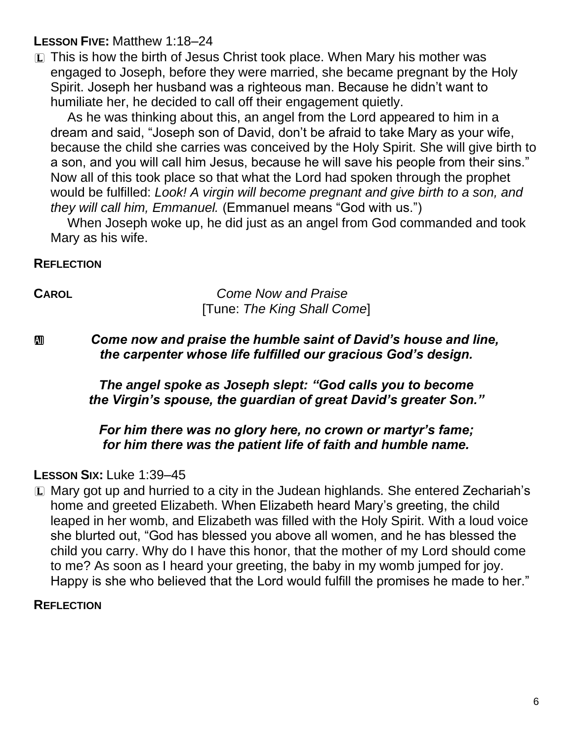## **LESSON FIVE:** Matthew 1:18–24

L This is how the birth of Jesus Christ took place. When Mary his mother was engaged to Joseph, before they were married, she became pregnant by the Holy Spirit. Joseph her husband was a righteous man. Because he didn't want to humiliate her, he decided to call off their engagement quietly.

As he was thinking about this, an angel from the Lord appeared to him in a dream and said, "Joseph son of David, don't be afraid to take Mary as your wife, because the child she carries was conceived by the Holy Spirit. She will give birth to a son, and you will call him Jesus, because he will save his people from their sins." Now all of this took place so that what the Lord had spoken through the prophet would be fulfilled: *Look! A virgin will become pregnant and give birth to a son, and they will call him, Emmanuel.* (Emmanuel means "God with us.")

When Joseph woke up, he did just as an angel from God commanded and took Mary as his wife.

#### **REFLECTION**

**CAROL** *Come Now and Praise* [Tune: *The King Shall Come*]

 $\mathbb{R}$ *Come now and praise the humble saint of David's house and line, the carpenter whose life fulfilled our gracious God's design.*

> *The angel spoke as Joseph slept: "God calls you to become the Virgin's spouse, the guardian of great David's greater Son."*

#### *For him there was no glory here, no crown or martyr's fame; for him there was the patient life of faith and humble name.*

#### **LESSON SIX:** Luke 1:39–45

L Mary got up and hurried to a city in the Judean highlands. She entered Zechariah's home and greeted Elizabeth. When Elizabeth heard Mary's greeting, the child leaped in her womb, and Elizabeth was filled with the Holy Spirit. With a loud voice she blurted out, "God has blessed you above all women, and he has blessed the child you carry. Why do I have this honor, that the mother of my Lord should come to me? As soon as I heard your greeting, the baby in my womb jumped for joy. Happy is she who believed that the Lord would fulfill the promises he made to her."

#### **REFLECTION**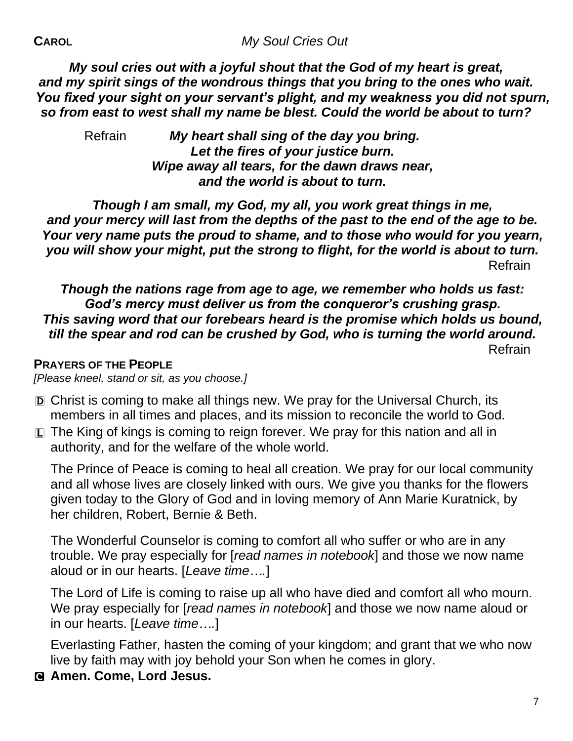*My soul cries out with a joyful shout that the God of my heart is great, and my spirit sings of the wondrous things that you bring to the ones who wait. You fixed your sight on your servant's plight, and my weakness you did not spurn, so from east to west shall my name be blest. Could the world be about to turn?*

Refrain *My heart shall sing of the day you bring. Let the fires of your justice burn. Wipe away all tears, for the dawn draws near, and the world is about to turn.*

*Though I am small, my God, my all, you work great things in me, and your mercy will last from the depths of the past to the end of the age to be. Your very name puts the proud to shame, and to those who would for you yearn, you will show your might, put the strong to flight, for the world is about to turn.* Refrain

*Though the nations rage from age to age, we remember who holds us fast: God's mercy must deliver us from the conqueror's crushing grasp. This saving word that our forebears heard is the promise which holds us bound, till the spear and rod can be crushed by God, who is turning the world around.* Refrain

#### **PRAYERS OF THE PEOPLE**

*[Please kneel, stand or sit, as you choose.]*

- D Christ is coming to make all things new. We pray for the Universal Church, its members in all times and places, and its mission to reconcile the world to God.
- $\Box$  The King of kings is coming to reign forever. We pray for this nation and all in authority, and for the welfare of the whole world.

The Prince of Peace is coming to heal all creation. We pray for our local community and all whose lives are closely linked with ours. We give you thanks for the flowers given today to the Glory of God and in loving memory of Ann Marie Kuratnick, by her children, Robert, Bernie & Beth.

The Wonderful Counselor is coming to comfort all who suffer or who are in any trouble. We pray especially for [*read names in notebook*] and those we now name aloud or in our hearts. [*Leave time….*]

The Lord of Life is coming to raise up all who have died and comfort all who mourn. We pray especially for [*read names in notebook*] and those we now name aloud or in our hearts. [*Leave time….*]

Everlasting Father, hasten the coming of your kingdom; and grant that we who now live by faith may with joy behold your Son when he comes in glory.

## C **Amen. Come, Lord Jesus.**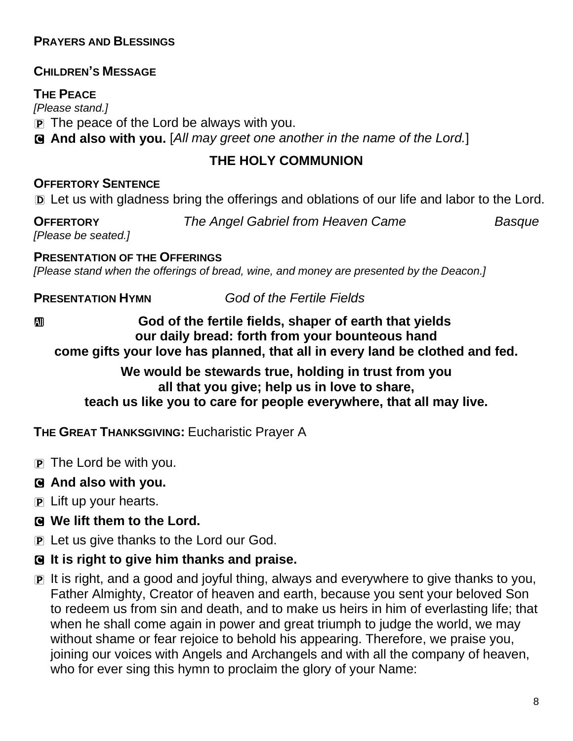#### **PRAYERS AND BLESSINGS**

## **CHILDREN'S MESSAGE**

#### **THE PEACE**

*[Please stand.]* P The peace of the Lord be always with you. C **And also with you.** [*All may greet one another in the name of the Lord.*]

# **THE HOLY COMMUNION**

#### **OFFERTORY SENTENCE**

D Let us with gladness bring the offerings and oblations of our life and labor to the Lord.

*[Please be seated.]*

**OFFERTORY** *The Angel Gabriel from Heaven Came Basque*

**PRESENTATION OF THE OFFERINGS** *[Please stand when the offerings of bread, wine, and money are presented by the Deacon.]*

**PRESENTATION HYMN** *God of the Fertile Fields*

**Example 3 A God of the fertile fields, shaper of earth that yields our daily bread: forth from your bounteous hand come gifts your love has planned, that all in every land be clothed and fed.**

### **We would be stewards true, holding in trust from you all that you give; help us in love to share, teach us like you to care for people everywhere, that all may live.**

## **THE GREAT THANKSGIVING:** Eucharistic Prayer A

- P The Lord be with you.
- C **And also with you.**
- P Lift up your hearts.
- C **We lift them to the Lord.**
- P Let us give thanks to the Lord our God.
- C **It is right to give him thanks and praise.**
- P It is right, and a good and joyful thing, always and everywhere to give thanks to you, Father Almighty, Creator of heaven and earth, because you sent your beloved Son to redeem us from sin and death, and to make us heirs in him of everlasting life; that when he shall come again in power and great triumph to judge the world, we may without shame or fear rejoice to behold his appearing. Therefore, we praise you, joining our voices with Angels and Archangels and with all the company of heaven, who for ever sing this hymn to proclaim the glory of your Name: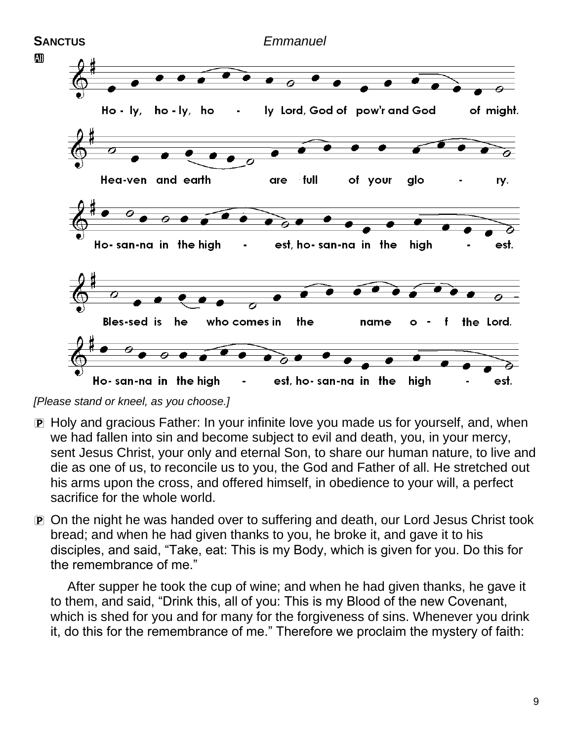

*<sup>[</sup>Please stand or kneel, as you choose.]*

- P Holy and gracious Father: In your infinite love you made us for yourself, and, when we had fallen into sin and become subject to evil and death, you, in your mercy, sent Jesus Christ, your only and eternal Son, to share our human nature, to live and die as one of us, to reconcile us to you, the God and Father of all. He stretched out his arms upon the cross, and offered himself, in obedience to your will, a perfect sacrifice for the whole world.
- P On the night he was handed over to suffering and death, our Lord Jesus Christ took bread; and when he had given thanks to you, he broke it, and gave it to his disciples, and said, "Take, eat: This is my Body, which is given for you. Do this for the remembrance of me."

After supper he took the cup of wine; and when he had given thanks, he gave it to them, and said, "Drink this, all of you: This is my Blood of the new Covenant, which is shed for you and for many for the forgiveness of sins. Whenever you drink it, do this for the remembrance of me." Therefore we proclaim the mystery of faith: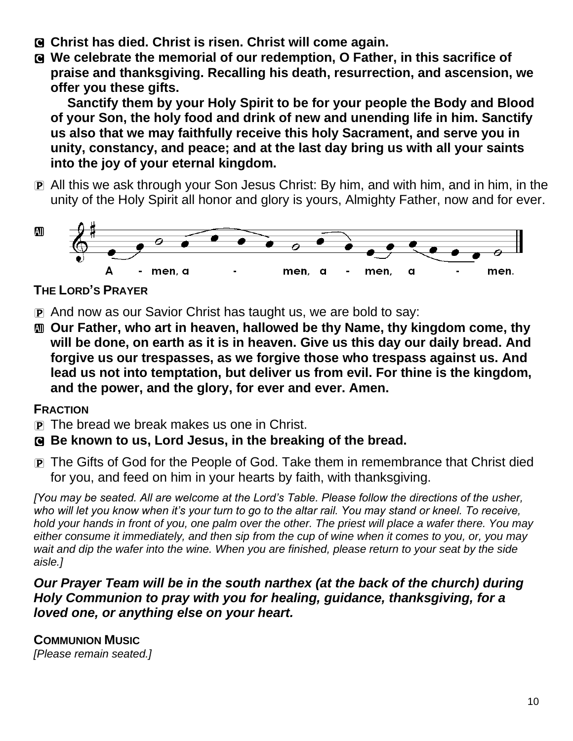- C **Christ has died. Christ is risen. Christ will come again.**
- C **We celebrate the memorial of our redemption, O Father, in this sacrifice of praise and thanksgiving. Recalling his death, resurrection, and ascension, we offer you these gifts.**

**Sanctify them by your Holy Spirit to be for your people the Body and Blood of your Son, the holy food and drink of new and unending life in him. Sanctify us also that we may faithfully receive this holy Sacrament, and serve you in unity, constancy, and peace; and at the last day bring us with all your saints into the joy of your eternal kingdom.**

P All this we ask through your Son Jesus Christ: By him, and with him, and in him, in the unity of the Holy Spirit all honor and glory is yours, Almighty Father, now and for ever.



**THE LORD'S PRAYER**

- P And now as our Savior Christ has taught us, we are bold to say:
- a **Our Father, who art in heaven, hallowed be thy Name, thy kingdom come, thy will be done, on earth as it is in heaven. Give us this day our daily bread. And forgive us our trespasses, as we forgive those who trespass against us. And lead us not into temptation, but deliver us from evil. For thine is the kingdom, and the power, and the glory, for ever and ever. Amen.**

## **FRACTION**

- P The bread we break makes us one in Christ.
- C **Be known to us, Lord Jesus, in the breaking of the bread.**
- P The Gifts of God for the People of God. Take them in remembrance that Christ died for you, and feed on him in your hearts by faith, with thanksgiving.

*[You may be seated. All are welcome at the Lord's Table. Please follow the directions of the usher,*  who will let you know when it's your turn to go to the altar rail. You may stand or kneel. To receive, *hold your hands in front of you, one palm over the other. The priest will place a wafer there. You may either consume it immediately, and then sip from the cup of wine when it comes to you, or, you may*  wait and dip the wafer into the wine. When you are finished, please return to your seat by the side *aisle.]*

*Our Prayer Team will be in the south narthex (at the back of the church) during Holy Communion to pray with you for healing, guidance, thanksgiving, for a loved one, or anything else on your heart.*

**COMMUNION MUSIC** *[Please remain seated.]*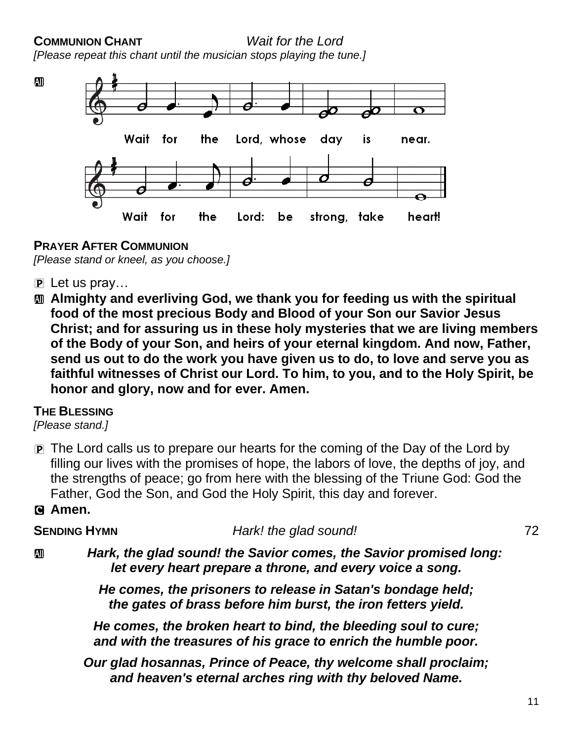**COMMUNION CHANT** *Wait for the Lord*

*[Please repeat this chant until the musician stops playing the tune.]*



**PRAYER AFTER COMMUNION** *[Please stand or kneel, as you choose.]*

- $\overline{P}$  Let us pray...
- a **Almighty and everliving God, we thank you for feeding us with the spiritual food of the most precious Body and Blood of your Son our Savior Jesus Christ; and for assuring us in these holy mysteries that we are living members of the Body of your Son, and heirs of your eternal kingdom. And now, Father, send us out to do the work you have given us to do, to love and serve you as faithful witnesses of Christ our Lord. To him, to you, and to the Holy Spirit, be honor and glory, now and for ever. Amen.**

#### **THE BLESSING**

*[Please stand.]*

- P The Lord calls us to prepare our hearts for the coming of the Day of the Lord by filling our lives with the promises of hope, the labors of love, the depths of joy, and the strengths of peace; go from here with the blessing of the Triune God: God the Father, God the Son, and God the Holy Spirit, this day and forever.
- C **Amen.**

**SENDING HYMN** *Hark! the glad sound!* 72

a *Hark, the glad sound! the Savior comes, the Savior promised long: let every heart prepare a throne, and every voice a song.*

> *He comes, the prisoners to release in Satan's bondage held; the gates of brass before him burst, the iron fetters yield.*

*He comes, the broken heart to bind, the bleeding soul to cure; and with the treasures of his grace to enrich the humble poor.*

*Our glad hosannas, Prince of Peace, thy welcome shall proclaim; and heaven's eternal arches ring with thy beloved Name.*